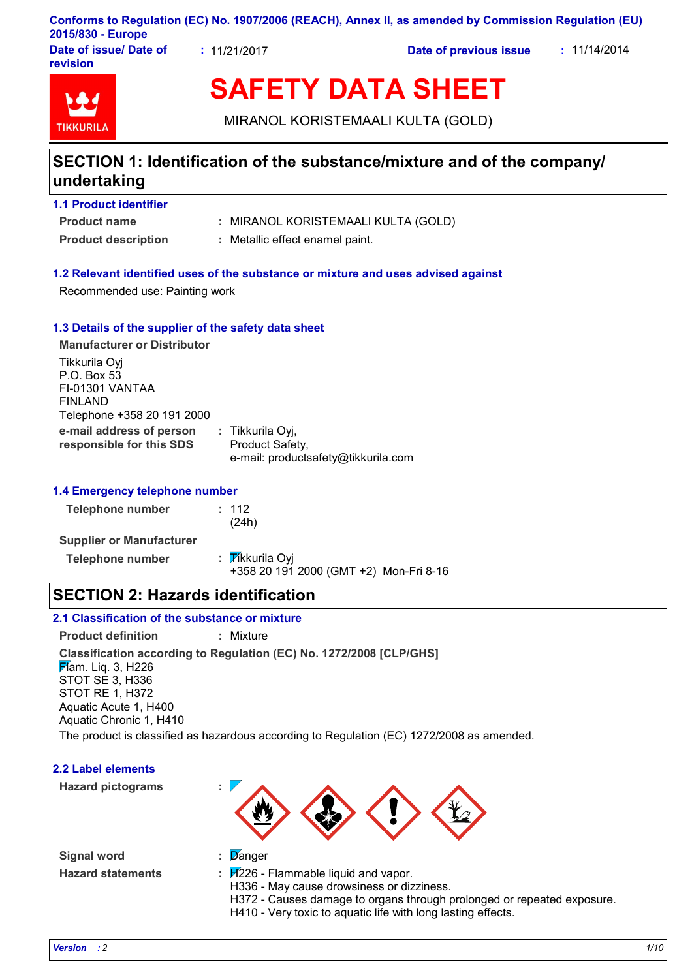### **Conforms to Regulation (EC) No. 1907/2006 (REACH), Annex II, as amended by Commission Regulation (EU) 2015/830 - Europe**

**Date of issue/ Date of revision**

**:** 11/21/2017 **Date of previous issue :** 11/14/2014



# **SAFETY DATA SHEET**

MIRANOL KORISTEMAALI KULTA (GOLD)

### **SECTION 1: Identification of the substance/mixture and of the company/ undertaking**

### **1.1 Product identifier**

**Product name**

- MIRANOL KORISTEMAALI KULTA (GOLD) **:**
- **Product description :** Metallic effect enamel paint.

#### **1.2 Relevant identified uses of the substance or mixture and uses advised against**

Recommended use: Painting work

#### **1.3 Details of the supplier of the safety data sheet**

**e-mail address of person responsible for this SDS :** Tikkurila Oyj, Product Safety, e-mail: productsafety@tikkurila.com **Manufacturer or Distributor** Tikkurila Oyj P.O. Box 53 FI-01301 VANTAA FINLAND Telephone +358 20 191 2000

#### **1.4 Emergency telephone number**

| <b>Telephone number</b>         | : 112<br>(24h)  |
|---------------------------------|-----------------|
| <b>Supplier or Manufacturer</b> |                 |
| <b>Telephone number</b>         | : Tikkurila Oyj |

+358 20 191 2000 (GMT +2) Mon-Fri 8-16

### **SECTION 2: Hazards identification**

#### **2.1 Classification of the substance or mixture**

**Product definition :** Mixture

**Classification according to Regulation (EC) No. 1272/2008 [CLP/GHS] Flam.** Liq. 3, H226 STOT SE 3, H336 STOT RE 1, H372 Aquatic Acute 1, H400

Aquatic Chronic 1, H410

The product is classified as hazardous according to Regulation (EC) 1272/2008 as amended.



**Signal word : Hazard statements :**

- 
- : Danger
- $\div$   $H226$  Flammable liquid and vapor.
	- H336 May cause drowsiness or dizziness.
	- H372 Causes damage to organs through prolonged or repeated exposure.
	- H410 Very toxic to aquatic life with long lasting effects.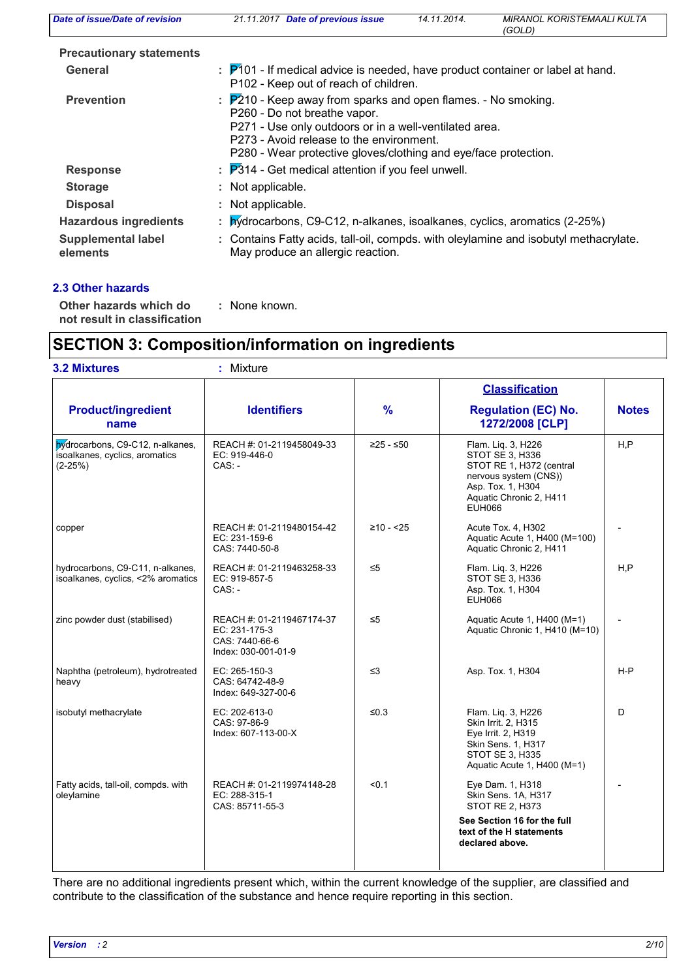| Date of issue/Date of revision                            | 21.11.2017 Date of previous issue                                                                                                                                                                                                                                                  | 14.11.2014. | <b>MIRANOL KORISTEMAALI KULTA</b><br>(GOLD) |  |  |
|-----------------------------------------------------------|------------------------------------------------------------------------------------------------------------------------------------------------------------------------------------------------------------------------------------------------------------------------------------|-------------|---------------------------------------------|--|--|
| <b>Precautionary statements</b>                           |                                                                                                                                                                                                                                                                                    |             |                                             |  |  |
| <b>General</b>                                            | : P101 - If medical advice is needed, have product container or label at hand.<br>P102 - Keep out of reach of children.                                                                                                                                                            |             |                                             |  |  |
| <b>Prevention</b>                                         | $\frac{1}{2}$ P210 - Keep away from sparks and open flames. - No smoking.<br>P260 - Do not breathe vapor.<br>P271 - Use only outdoors or in a well-ventilated area.<br>P273 - Avoid release to the environment.<br>P280 - Wear protective gloves/clothing and eye/face protection. |             |                                             |  |  |
| <b>Response</b>                                           | $\therefore$ $\overline{P}314$ - Get medical attention if you feel unwell.                                                                                                                                                                                                         |             |                                             |  |  |
| <b>Storage</b>                                            | : Not applicable.                                                                                                                                                                                                                                                                  |             |                                             |  |  |
| <b>Disposal</b>                                           | : Not applicable.                                                                                                                                                                                                                                                                  |             |                                             |  |  |
| <b>Hazardous ingredients</b><br><b>Supplemental label</b> | : <i>b</i> y drocarbons, C9-C12, n-alkanes, isoalkanes, cyclics, aromatics (2-25%)<br>: Contains Fatty acids, tall-oil, compds. with oleylamine and isobutyl methacrylate.                                                                                                         |             |                                             |  |  |
| elements                                                  | May produce an allergic reaction.                                                                                                                                                                                                                                                  |             |                                             |  |  |

#### **2.3 Other hazards**

**Other hazards which do : not result in classification**

: None known.

### **SECTION 3: Composition/information on ingredients**

| <b>3.2 Mixtures</b>                                                             | ×,<br>Mixture                                                                       |             |                                                                                                                                                             |              |
|---------------------------------------------------------------------------------|-------------------------------------------------------------------------------------|-------------|-------------------------------------------------------------------------------------------------------------------------------------------------------------|--------------|
|                                                                                 |                                                                                     |             | <b>Classification</b>                                                                                                                                       |              |
| <b>Product/ingredient</b><br>name                                               | <b>Identifiers</b>                                                                  | %           | <b>Regulation (EC) No.</b><br>1272/2008 [CLP]                                                                                                               | <b>Notes</b> |
| bydrocarbons, C9-C12, n-alkanes,<br>isoalkanes, cyclics, aromatics<br>$(2-25%)$ | REACH #: 01-2119458049-33<br>EC: 919-446-0<br>$CAS: -$                              | ≥25 - ≤50   | Flam. Lig. 3, H226<br>STOT SE 3. H336<br>STOT RE 1, H372 (central<br>nervous system (CNS))<br>Asp. Tox. 1, H304<br>Aquatic Chronic 2, H411<br><b>EUH066</b> | H, P         |
| copper                                                                          | REACH #: 01-2119480154-42<br>EC: 231-159-6<br>CAS: 7440-50-8                        | $≥10 - 525$ | Acute Tox. 4, H302<br>Aquatic Acute 1, H400 (M=100)<br>Aquatic Chronic 2, H411                                                                              |              |
| hydrocarbons, C9-C11, n-alkanes,<br>isoalkanes, cyclics, <2% aromatics          | REACH #: 01-2119463258-33<br>EC: 919-857-5<br>$CAS: -$                              | $\leq 5$    | Flam. Lig. 3, H226<br>STOT SE 3, H336<br>Asp. Tox. 1, H304<br><b>EUH066</b>                                                                                 | H, P         |
| zinc powder dust (stabilised)                                                   | REACH #: 01-2119467174-37<br>EC: 231-175-3<br>CAS: 7440-66-6<br>Index: 030-001-01-9 | $\leq 5$    | Aquatic Acute 1, H400 (M=1)<br>Aquatic Chronic 1, H410 (M=10)                                                                                               |              |
| Naphtha (petroleum), hydrotreated<br>heavy                                      | EC: 265-150-3<br>CAS: 64742-48-9<br>Index: 649-327-00-6                             | $\leq$ 3    | Asp. Tox. 1, H304                                                                                                                                           | $H - P$      |
| isobutyl methacrylate                                                           | EC: 202-613-0<br>CAS: 97-86-9<br>Index: 607-113-00-X                                | ≤ $0.3$     | Flam. Lig. 3, H226<br>Skin Irrit. 2, H315<br>Eye Irrit. 2, H319<br>Skin Sens. 1, H317<br>STOT SE 3, H335<br>Aquatic Acute 1, H400 (M=1)                     | D            |
| Fatty acids, tall-oil, compds. with<br>oleylamine                               | REACH #: 01-2119974148-28<br>EC: 288-315-1<br>CAS: 85711-55-3                       | < 0.1       | Eye Dam. 1, H318<br>Skin Sens. 1A, H317<br><b>STOT RE 2, H373</b><br>See Section 16 for the full                                                            |              |
|                                                                                 |                                                                                     |             | text of the H statements<br>declared above.                                                                                                                 |              |

There are no additional ingredients present which, within the current knowledge of the supplier, are classified and contribute to the classification of the substance and hence require reporting in this section.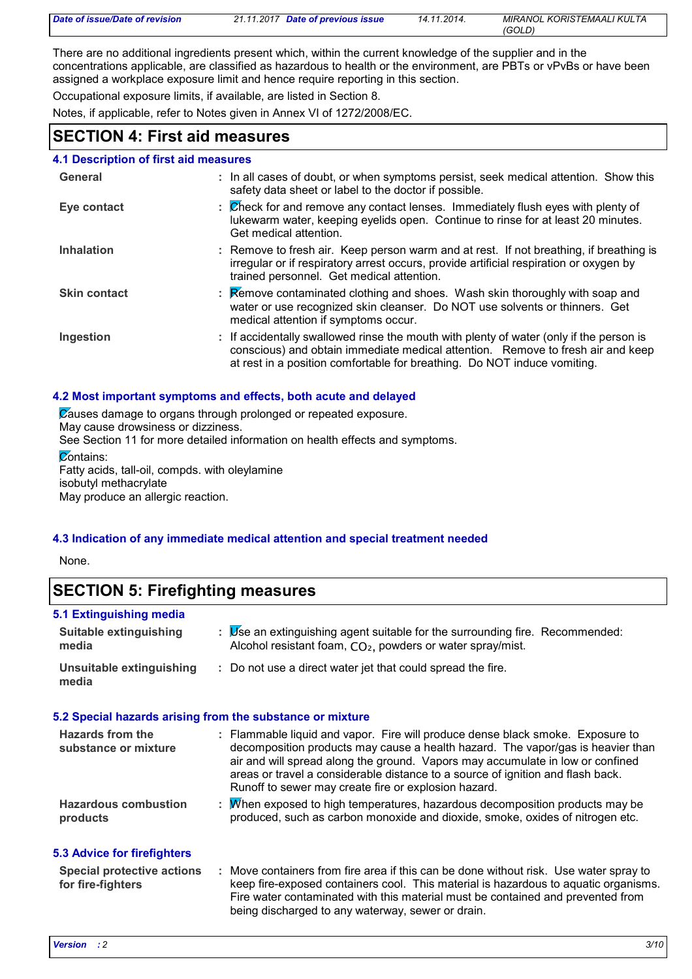| Date of issue/Date of revision | 21.11.2017 Date of previous issue | 14.11.2014. | MIRANOL KORISTEMAALI KULTA |
|--------------------------------|-----------------------------------|-------------|----------------------------|
|                                |                                   |             | (GOLD)                     |

There are no additional ingredients present which, within the current knowledge of the supplier and in the concentrations applicable, are classified as hazardous to health or the environment, are PBTs or vPvBs or have been assigned a workplace exposure limit and hence require reporting in this section.

Occupational exposure limits, if available, are listed in Section 8.

Notes, if applicable, refer to Notes given in Annex VI of 1272/2008/EC.

### **SECTION 4: First aid measures**

#### **4.1 Description of first aid measures**

| General             | : In all cases of doubt, or when symptoms persist, seek medical attention. Show this<br>safety data sheet or label to the doctor if possible.                                                                                                          |
|---------------------|--------------------------------------------------------------------------------------------------------------------------------------------------------------------------------------------------------------------------------------------------------|
| Eye contact         | : Check for and remove any contact lenses. Immediately flush eyes with plenty of<br>lukewarm water, keeping eyelids open. Continue to rinse for at least 20 minutes.<br>Get medical attention.                                                         |
| <b>Inhalation</b>   | : Remove to fresh air. Keep person warm and at rest. If not breathing, if breathing is<br>irregular or if respiratory arrest occurs, provide artificial respiration or oxygen by<br>trained personnel. Get medical attention.                          |
| <b>Skin contact</b> | : Remove contaminated clothing and shoes. Wash skin thoroughly with soap and<br>water or use recognized skin cleanser. Do NOT use solvents or thinners. Get<br>medical attention if symptoms occur.                                                    |
| Ingestion           | : If accidentally swallowed rinse the mouth with plenty of water (only if the person is<br>conscious) and obtain immediate medical attention. Remove to fresh air and keep<br>at rest in a position comfortable for breathing. Do NOT induce vomiting. |

#### **4.2 Most important symptoms and effects, both acute and delayed**

Causes damage to organs through prolonged or repeated exposure.

May cause drowsiness or dizziness.

See Section 11 for more detailed information on health effects and symptoms.

#### **Contains:**

Fatty acids, tall-oil, compds. with oleylamine isobutyl methacrylate May produce an allergic reaction.

#### **4.3 Indication of any immediate medical attention and special treatment needed**

None.

### **SECTION 5: Firefighting measures**

### **5.1 Extinguishing media**

| Suitable extinguishing<br>media                           | : <i>Use</i> an extinguishing agent suitable for the surrounding fire. Recommended:<br>Alcohol resistant foam, CO <sub>2</sub> , powders or water spray/mist.                                                                                                                                                                                                                                  |  |
|-----------------------------------------------------------|------------------------------------------------------------------------------------------------------------------------------------------------------------------------------------------------------------------------------------------------------------------------------------------------------------------------------------------------------------------------------------------------|--|
| Unsuitable extinguishing<br>media                         | : Do not use a direct water jet that could spread the fire.                                                                                                                                                                                                                                                                                                                                    |  |
| 5.2 Special hazards arising from the substance or mixture |                                                                                                                                                                                                                                                                                                                                                                                                |  |
| Hazards from the<br>substance or mixture                  | : Flammable liquid and vapor. Fire will produce dense black smoke. Exposure to<br>decomposition products may cause a health hazard. The vapor/gas is heavier than<br>air and will spread along the ground. Vapors may accumulate in low or confined<br>areas or travel a considerable distance to a source of ignition and flash back.<br>Runoff to sewer may create fire or explosion hazard. |  |
| <b>Hazardous combustion</b><br>products                   | : M/hen exposed to high temperatures, hazardous decomposition products may be<br>produced, such as carbon monoxide and dioxide, smoke, oxides of nitrogen etc.                                                                                                                                                                                                                                 |  |

#### **5.3 Advice for firefighters**

| <b>Special protective actions</b> | Move containers from fire area if this can be done without risk. Use water spray to |
|-----------------------------------|-------------------------------------------------------------------------------------|
| for fire-fighters                 | keep fire-exposed containers cool. This material is hazardous to aguatic organisms. |
|                                   | Fire water contaminated with this material must be contained and prevented from     |
|                                   | being discharged to any waterway, sewer or drain.                                   |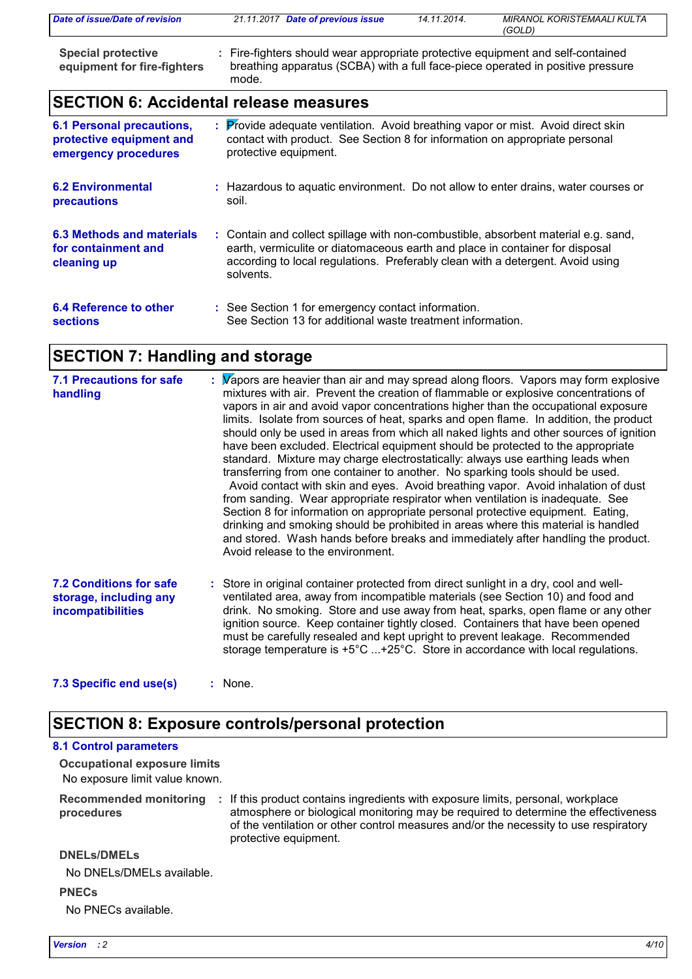| Date of issue/Date of revision                           | 21.11.2017 Date of previous issue                                                                                                                                           | 14.11.2014. | <b>MIRANOL KORISTEMAALI KULTA</b><br>(GOLD) |
|----------------------------------------------------------|-----------------------------------------------------------------------------------------------------------------------------------------------------------------------------|-------------|---------------------------------------------|
| <b>Special protective</b><br>equipment for fire-fighters | : Fire-fighters should wear appropriate protective equipment and self-contained<br>breathing apparatus (SCBA) with a full face-piece operated in positive pressure<br>mode. |             |                                             |

### **SECTION 6: Accidental release measures**

| <b>6.1 Personal precautions,</b>                                | : Provide adequate ventilation. Avoid breathing vapor or mist. Avoid direct skin                                                                                                                                                                                  |
|-----------------------------------------------------------------|-------------------------------------------------------------------------------------------------------------------------------------------------------------------------------------------------------------------------------------------------------------------|
| protective equipment and                                        | contact with product. See Section 8 for information on appropriate personal                                                                                                                                                                                       |
| emergency procedures                                            | protective equipment.                                                                                                                                                                                                                                             |
| <b>6.2 Environmental</b>                                        | : Hazardous to aguatic environment. Do not allow to enter drains, water courses or                                                                                                                                                                                |
| <b>precautions</b>                                              | soil.                                                                                                                                                                                                                                                             |
| 6.3 Methods and materials<br>for containment and<br>cleaning up | : Contain and collect spillage with non-combustible, absorbent material e.g. sand,<br>earth, vermiculite or diatomaceous earth and place in container for disposal<br>according to local regulations. Preferably clean with a detergent. Avoid using<br>solvents. |
| 6.4 Reference to other                                          | : See Section 1 for emergency contact information.                                                                                                                                                                                                                |
| <b>sections</b>                                                 | See Section 13 for additional waste treatment information.                                                                                                                                                                                                        |

### **SECTION 7: Handling and storage**

| <b>7.1 Precautions for safe</b><br>handling                                          | : Vapors are heavier than air and may spread along floors. Vapors may form explosive<br>mixtures with air. Prevent the creation of flammable or explosive concentrations of<br>vapors in air and avoid vapor concentrations higher than the occupational exposure<br>limits. Isolate from sources of heat, sparks and open flame. In addition, the product<br>should only be used in areas from which all naked lights and other sources of ignition<br>have been excluded. Electrical equipment should be protected to the appropriate<br>standard. Mixture may charge electrostatically: always use earthing leads when<br>transferring from one container to another. No sparking tools should be used.<br>Avoid contact with skin and eyes. Avoid breathing vapor. Avoid inhalation of dust<br>from sanding. Wear appropriate respirator when ventilation is inadequate. See<br>Section 8 for information on appropriate personal protective equipment. Eating,<br>drinking and smoking should be prohibited in areas where this material is handled<br>and stored. Wash hands before breaks and immediately after handling the product.<br>Avoid release to the environment. |  |
|--------------------------------------------------------------------------------------|-----------------------------------------------------------------------------------------------------------------------------------------------------------------------------------------------------------------------------------------------------------------------------------------------------------------------------------------------------------------------------------------------------------------------------------------------------------------------------------------------------------------------------------------------------------------------------------------------------------------------------------------------------------------------------------------------------------------------------------------------------------------------------------------------------------------------------------------------------------------------------------------------------------------------------------------------------------------------------------------------------------------------------------------------------------------------------------------------------------------------------------------------------------------------------------|--|
| <b>7.2 Conditions for safe</b><br>storage, including any<br><b>incompatibilities</b> | : Store in original container protected from direct sunlight in a dry, cool and well-<br>ventilated area, away from incompatible materials (see Section 10) and food and<br>drink. No smoking. Store and use away from heat, sparks, open flame or any other<br>ignition source. Keep container tightly closed. Containers that have been opened<br>must be carefully resealed and kept upright to prevent leakage. Recommended<br>storage temperature is $+5^{\circ}$ C $+25^{\circ}$ C. Store in accordance with local regulations.                                                                                                                                                                                                                                                                                                                                                                                                                                                                                                                                                                                                                                             |  |
| 7.3 Specific end use(s)                                                              | : None.                                                                                                                                                                                                                                                                                                                                                                                                                                                                                                                                                                                                                                                                                                                                                                                                                                                                                                                                                                                                                                                                                                                                                                           |  |

### **SECTION 8: Exposure controls/personal protection**

#### Recommended monitoring : If this product contains ingredients with exposure limits, personal, workplace **procedures** No exposure limit value known. **Occupational exposure limits** atmosphere or biological monitoring may be required to determine the effectiveness of the ventilation or other control measures and/or the necessity to use respiratory protective equipment. **PNECs 8.1 Control parameters DNELs/DMELs** No DNELs/DMELs available.

No PNECs available.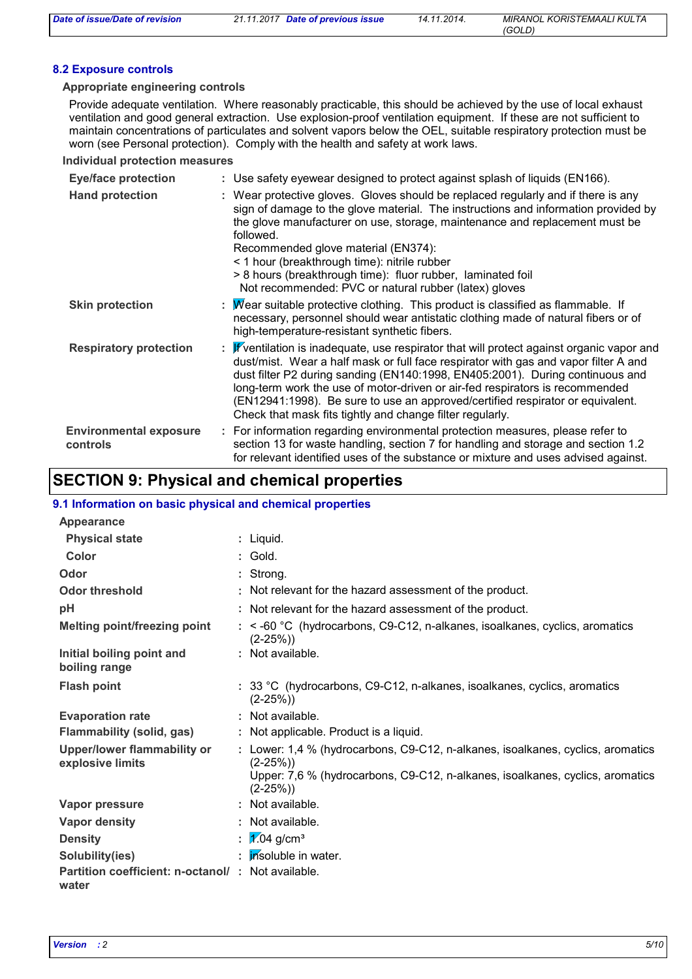#### **8.2 Exposure controls**

#### **Appropriate engineering controls**

Provide adequate ventilation. Where reasonably practicable, this should be achieved by the use of local exhaust ventilation and good general extraction. Use explosion-proof ventilation equipment. If these are not sufficient to maintain concentrations of particulates and solvent vapors below the OEL, suitable respiratory protection must be worn (see Personal protection). Comply with the health and safety at work laws.

**Individual protection measures**

| <b>Eye/face protection</b>                | : Use safety eyewear designed to protect against splash of liquids (EN166).                                                                                                                                                                                                                                                                                                                                                                                                                                 |
|-------------------------------------------|-------------------------------------------------------------------------------------------------------------------------------------------------------------------------------------------------------------------------------------------------------------------------------------------------------------------------------------------------------------------------------------------------------------------------------------------------------------------------------------------------------------|
| <b>Hand protection</b>                    | : Wear protective gloves. Gloves should be replaced regularly and if there is any<br>sign of damage to the glove material. The instructions and information provided by<br>the glove manufacturer on use, storage, maintenance and replacement must be<br>followed.<br>Recommended glove material (EN374):<br>< 1 hour (breakthrough time): nitrile rubber                                                                                                                                                  |
|                                           | > 8 hours (breakthrough time): fluor rubber, laminated foil<br>Not recommended: PVC or natural rubber (latex) gloves                                                                                                                                                                                                                                                                                                                                                                                        |
| <b>Skin protection</b>                    | : $\overline{M}$ ear suitable protective clothing. This product is classified as flammable. If<br>necessary, personnel should wear antistatic clothing made of natural fibers or of<br>high-temperature-resistant synthetic fibers.                                                                                                                                                                                                                                                                         |
| <b>Respiratory protection</b>             | : $\mathbb{F}$ ventilation is inadequate, use respirator that will protect against organic vapor and<br>dust/mist. Wear a half mask or full face respirator with gas and vapor filter A and<br>dust filter P2 during sanding (EN140:1998, EN405:2001). During continuous and<br>long-term work the use of motor-driven or air-fed respirators is recommended<br>(EN12941:1998). Be sure to use an approved/certified respirator or equivalent.<br>Check that mask fits tightly and change filter regularly. |
| <b>Environmental exposure</b><br>controls | : For information regarding environmental protection measures, please refer to<br>section 13 for waste handling, section 7 for handling and storage and section 1.2<br>for relevant identified uses of the substance or mixture and uses advised against.                                                                                                                                                                                                                                                   |

### **SECTION 9: Physical and chemical properties**

#### **9.1 Information on basic physical and chemical properties**

| Appearance                                                 |                                                                                              |
|------------------------------------------------------------|----------------------------------------------------------------------------------------------|
| <b>Physical state</b>                                      | : Liquid.                                                                                    |
| Color                                                      | $:$ Gold.                                                                                    |
| Odor                                                       | : Strong.                                                                                    |
| <b>Odor threshold</b>                                      | : Not relevant for the hazard assessment of the product.                                     |
| pH                                                         | : Not relevant for the hazard assessment of the product.                                     |
| <b>Melting point/freezing point</b>                        | : < -60 °C (hydrocarbons, C9-C12, n-alkanes, isoalkanes, cyclics, aromatics<br>$(2-25%)$     |
| Initial boiling point and<br>boiling range                 | : Not available.                                                                             |
| <b>Flash point</b>                                         | : 33 °C (hydrocarbons, C9-C12, n-alkanes, isoalkanes, cyclics, aromatics<br>$(2-25%)$        |
| <b>Evaporation rate</b>                                    | : Not available.                                                                             |
| Flammability (solid, gas)                                  | : Not applicable. Product is a liquid.                                                       |
| Upper/lower flammability or<br>explosive limits            | : Lower: 1,4 % (hydrocarbons, C9-C12, n-alkanes, isoalkanes, cyclics, aromatics<br>$(2-25%)$ |
|                                                            | Upper: 7,6 % (hydrocarbons, C9-C12, n-alkanes, isoalkanes, cyclics, aromatics<br>$(2-25%)$   |
| Vapor pressure                                             | : Not available.                                                                             |
| Vapor density                                              | : Not available.                                                                             |
| <b>Density</b>                                             | : $\sqrt{1.04}$ g/cm <sup>3</sup>                                                            |
| Solubility(ies)                                            | : <i>insoluble in water.</i>                                                                 |
| Partition coefficient: n-octanol/: Not available.<br>water |                                                                                              |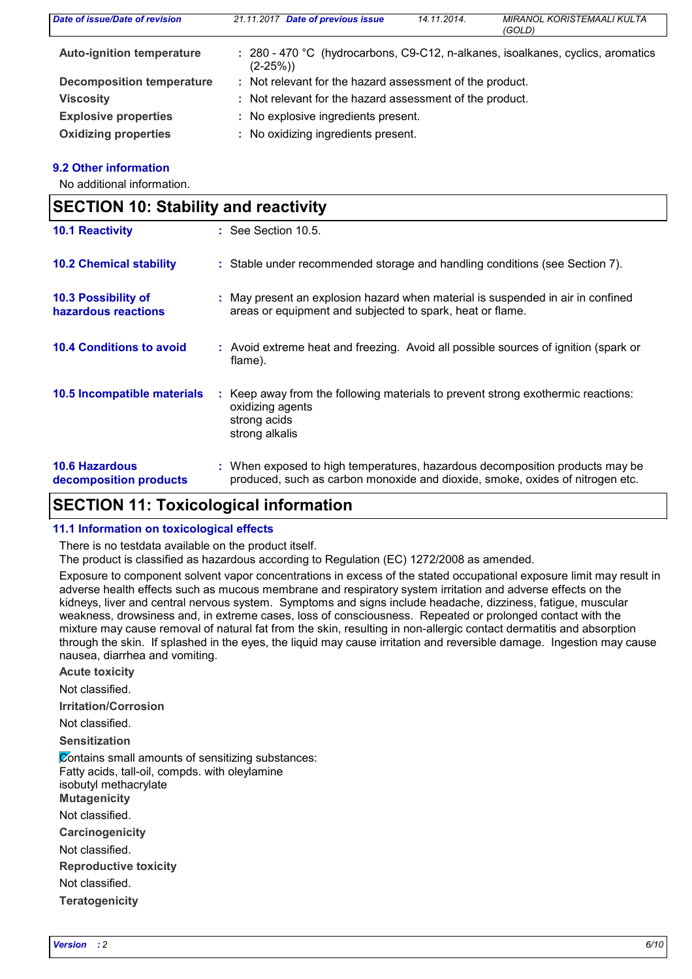| Date of issue/Date of revision   | 21.11.2017 Date of previous issue                        | 14.11.2014. | MIRANOL KORISTEMAALI KULTA<br>(GOLD)                                            |
|----------------------------------|----------------------------------------------------------|-------------|---------------------------------------------------------------------------------|
| <b>Auto-ignition temperature</b> | $(2-25%)$                                                |             | : 280 - 470 °C (hydrocarbons, C9-C12, n-alkanes, isoalkanes, cyclics, aromatics |
| <b>Decomposition temperature</b> | : Not relevant for the hazard assessment of the product. |             |                                                                                 |
| <b>Viscosity</b>                 | : Not relevant for the hazard assessment of the product. |             |                                                                                 |
| <b>Explosive properties</b>      | : No explosive ingredients present.                      |             |                                                                                 |
| <b>Oxidizing properties</b>      | : No oxidizing ingredients present.                      |             |                                                                                 |

#### **9.2 Other information**

No additional information.

| <b>SECTION 10: Stability and reactivity</b>     |                                                                                                                                                               |  |
|-------------------------------------------------|---------------------------------------------------------------------------------------------------------------------------------------------------------------|--|
| <b>10.1 Reactivity</b>                          | $\therefore$ See Section 10.5.                                                                                                                                |  |
| <b>10.2 Chemical stability</b>                  | : Stable under recommended storage and handling conditions (see Section 7).                                                                                   |  |
| 10.3 Possibility of<br>hazardous reactions      | : May present an explosion hazard when material is suspended in air in confined<br>areas or equipment and subjected to spark, heat or flame.                  |  |
| <b>10.4 Conditions to avoid</b>                 | : Avoid extreme heat and freezing. Avoid all possible sources of ignition (spark or<br>flame).                                                                |  |
| 10.5 Incompatible materials                     | : Keep away from the following materials to prevent strong exothermic reactions:<br>oxidizing agents<br>strong acids<br>strong alkalis                        |  |
| <b>10.6 Hazardous</b><br>decomposition products | : When exposed to high temperatures, hazardous decomposition products may be<br>produced, such as carbon monoxide and dioxide, smoke, oxides of nitrogen etc. |  |

### **SECTION 11: Toxicological information**

#### **11.1 Information on toxicological effects**

There is no testdata available on the product itself.

The product is classified as hazardous according to Regulation (EC) 1272/2008 as amended.

Exposure to component solvent vapor concentrations in excess of the stated occupational exposure limit may result in adverse health effects such as mucous membrane and respiratory system irritation and adverse effects on the kidneys, liver and central nervous system. Symptoms and signs include headache, dizziness, fatigue, muscular weakness, drowsiness and, in extreme cases, loss of consciousness. Repeated or prolonged contact with the mixture may cause removal of natural fat from the skin, resulting in non-allergic contact dermatitis and absorption through the skin. If splashed in the eyes, the liquid may cause irritation and reversible damage. Ingestion may cause nausea, diarrhea and vomiting.

**Acute toxicity**

Not classified.

**Irritation/Corrosion**

Not classified.

**Sensitization**

**Carcinogenicity Mutagenicity Teratogenicity Reproductive toxicity** Not classified. Not classified. Not classified. **Contains small amounts of sensitizing substances:** Fatty acids, tall-oil, compds. with oleylamine isobutyl methacrylate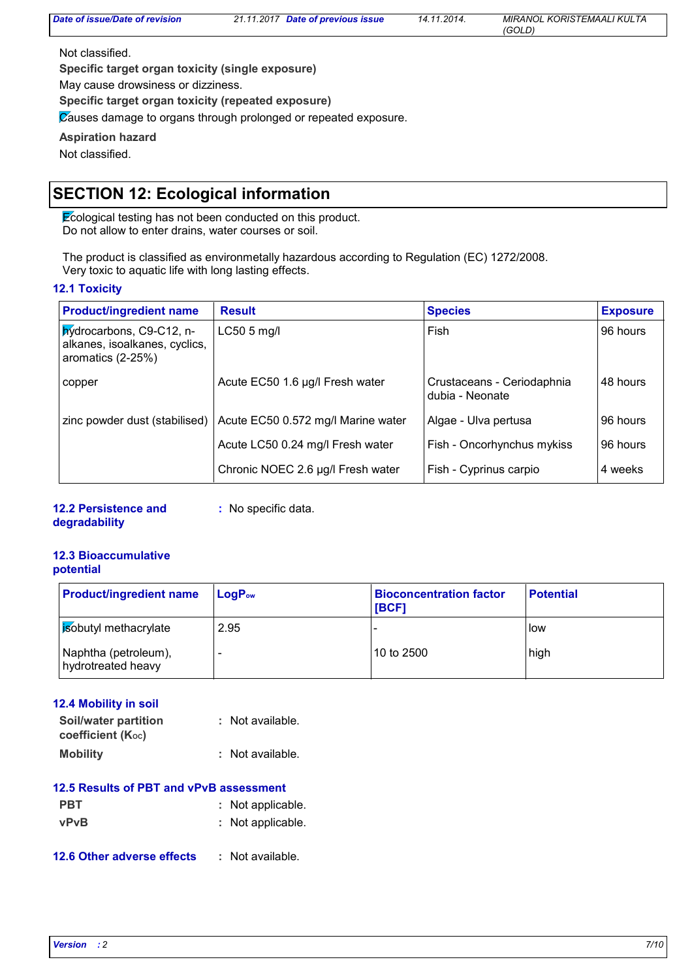Not classified.

**Specific target organ toxicity (single exposure)**

May cause drowsiness or dizziness.

**Specific target organ toxicity (repeated exposure)**

Causes damage to organs through prolonged or repeated exposure.

**Aspiration hazard**

Not classified.

### **SECTION 12: Ecological information**

**Ecological testing has not been conducted on this product.** Do not allow to enter drains, water courses or soil.

The product is classified as environmetally hazardous according to Regulation (EC) 1272/2008. Very toxic to aquatic life with long lasting effects.

#### **12.1 Toxicity**

| <b>Product/ingredient name</b>                                                 | <b>Result</b>                      | <b>Species</b>                                | <b>Exposure</b> |
|--------------------------------------------------------------------------------|------------------------------------|-----------------------------------------------|-----------------|
| hydrocarbons, C9-C12, n-<br>alkanes, isoalkanes, cyclics,<br>aromatics (2-25%) | $LC505$ mg/l                       | Fish                                          | 96 hours        |
| copper                                                                         | Acute EC50 1.6 µg/l Fresh water    | Crustaceans - Ceriodaphnia<br>dubia - Neonate | 48 hours        |
| zinc powder dust (stabilised)                                                  | Acute EC50 0.572 mg/l Marine water | Algae - Ulva pertusa                          | 96 hours        |
|                                                                                | Acute LC50 0.24 mg/l Fresh water   | Fish - Oncorhynchus mykiss                    | 96 hours        |
|                                                                                | Chronic NOEC 2.6 µg/l Fresh water  | Fish - Cyprinus carpio                        | 4 weeks         |

**12.2 Persistence and degradability**

**:** No specific data.

#### **12.3 Bioaccumulative potential**

| <b>Product/ingredient name</b>             | $LogP_{ow}$ | <b>Bioconcentration factor</b><br><b>IBCF1</b> | <b>Potential</b> |
|--------------------------------------------|-------------|------------------------------------------------|------------------|
| <b>Bobutyl</b> methacrylate                | 2.95        |                                                | low              |
| Naphtha (petroleum),<br>hydrotreated heavy | $\sim$      | 10 to 2500                                     | high             |

#### **12.4 Mobility in soil**

| Soil/water partition           |  | : Not available. |
|--------------------------------|--|------------------|
| coefficient (K <sub>oc</sub> ) |  |                  |
| <b>Mobility</b>                |  | : Not available. |

| 12.5 Results of PBT and vPvB assessment |                   |  |  |
|-----------------------------------------|-------------------|--|--|
| <b>PBT</b>                              | : Not applicable. |  |  |
| <b>vPvB</b>                             | : Not applicable. |  |  |

#### **12.6 Other adverse effects :**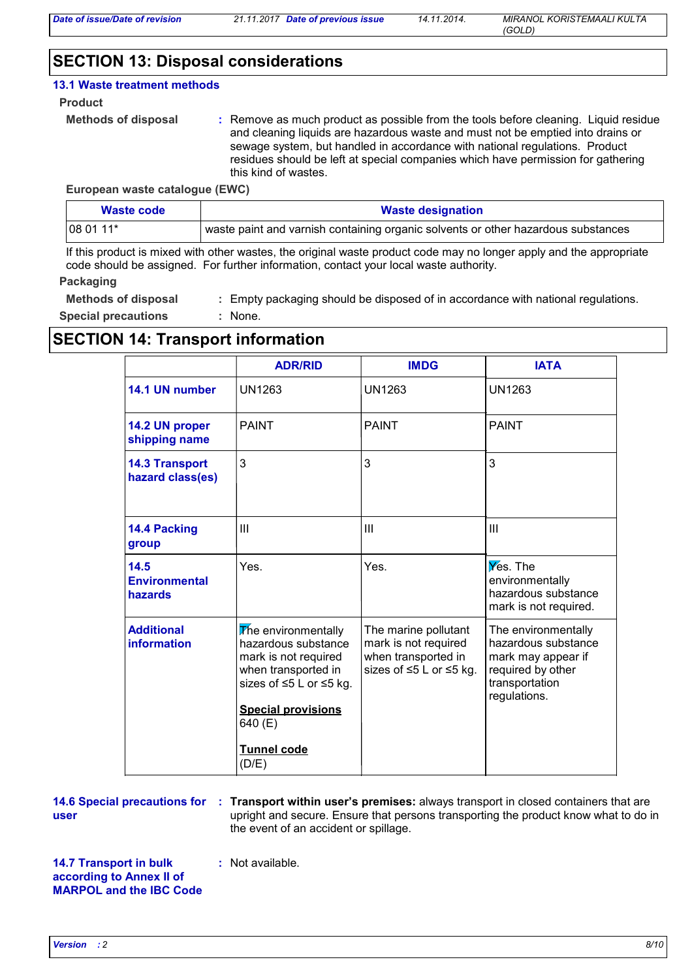### **SECTION 13: Disposal considerations**

#### **13.1 Waste treatment methods**

#### **Product**

```
Methods of disposal :
```
Remove as much product as possible from the tools before cleaning. Liquid residue and cleaning liquids are hazardous waste and must not be emptied into drains or sewage system, but handled in accordance with national regulations. Product residues should be left at special companies which have permission for gathering this kind of wastes.

#### **European waste catalogue (EWC)**

| Waste code                                                                                     | <b>Waste designation</b> |  |
|------------------------------------------------------------------------------------------------|--------------------------|--|
| waste paint and varnish containing organic solvents or other hazardous substances<br>08 01 11* |                          |  |

If this product is mixed with other wastes, the original waste product code may no longer apply and the appropriate code should be assigned. For further information, contact your local waste authority.

#### **Packaging**

**Methods of disposal :** Empty packaging should be disposed of in accordance with national regulations.

**Special precautions :** : None.

### **SECTION 14: Transport information**

| <b>UN1263</b>                                                                                                                                                                      | UN1263                                                                                         |                                                                                                                         |
|------------------------------------------------------------------------------------------------------------------------------------------------------------------------------------|------------------------------------------------------------------------------------------------|-------------------------------------------------------------------------------------------------------------------------|
|                                                                                                                                                                                    |                                                                                                | UN1263                                                                                                                  |
| <b>PAINT</b>                                                                                                                                                                       | <b>PAINT</b>                                                                                   | <b>PAINT</b>                                                                                                            |
| 3                                                                                                                                                                                  | 3                                                                                              | 3                                                                                                                       |
| III                                                                                                                                                                                | III                                                                                            | $\mathbf{III}$                                                                                                          |
| Yes.                                                                                                                                                                               | Yes.                                                                                           | Yes. The<br>environmentally<br>hazardous substance<br>mark is not required.                                             |
| The environmentally<br>hazardous substance<br>mark is not required<br>when transported in<br>sizes of ≤5 L or ≤5 kg.<br><b>Special provisions</b><br>640 (E)<br><b>Tunnel code</b> | The marine pollutant<br>mark is not required<br>when transported in<br>sizes of ≤5 L or ≤5 kg. | The environmentally<br>hazardous substance<br>mark may appear if<br>required by other<br>transportation<br>regulations. |
|                                                                                                                                                                                    | (D/E)                                                                                          |                                                                                                                         |

**user**

**14.6 Special precautions for : Transport within user's premises: always transport in closed containers that are** upright and secure. Ensure that persons transporting the product know what to do in the event of an accident or spillage.

**14.7 Transport in bulk according to Annex II of MARPOL and the IBC Code**

**:** Not available.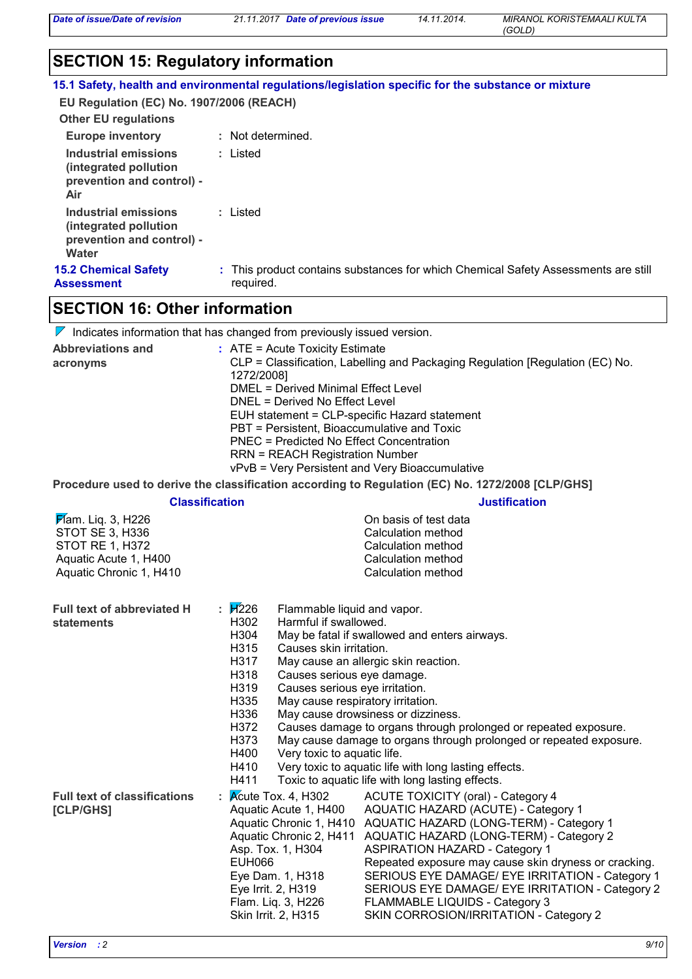*Date of issue/Date of revision 21.11.2017 Date of previous issue 14.11.2014.*

*MIRANOL KORISTEMAALI KULTA (GOLD)*

### **SECTION 15: Regulatory information**

|  | 15.1 Safety, health and environmental regulations/legislation specific for the substance or mixture |  |
|--|-----------------------------------------------------------------------------------------------------|--|
|--|-----------------------------------------------------------------------------------------------------|--|

**EU Regulation (EC) No. 1907/2006 (REACH)**

| <b>Other EU regulations</b>                                                          |                                                                                                 |
|--------------------------------------------------------------------------------------|-------------------------------------------------------------------------------------------------|
| <b>Europe inventory</b>                                                              | : Not determined.                                                                               |
| Industrial emissions<br>(integrated pollution<br>prevention and control) -<br>Air    | : Listed                                                                                        |
| Industrial emissions<br>(integrated pollution)<br>prevention and control) -<br>Water | : Listed                                                                                        |
| <b>15.2 Chemical Safety</b><br>Assessment                                            | : This product contains substances for which Chemical Safety Assessments are still<br>required. |

## **SECTION 16: Other information**

| $\nabla$ Indicates information that has changed from previously issued version. |  |  |
|---------------------------------------------------------------------------------|--|--|
|                                                                                 |  |  |

| <b>Abbreviations and</b><br>acronyms                                                                                    | : ATE = Acute Toxicity Estimate<br>CLP = Classification, Labelling and Packaging Regulation [Regulation (EC) No.<br>1272/2008]<br><b>DMEL = Derived Minimal Effect Level</b><br>DNEL = Derived No Effect Level<br>EUH statement = CLP-specific Hazard statement<br>PBT = Persistent, Bioaccumulative and Toxic<br><b>PNEC = Predicted No Effect Concentration</b><br><b>RRN = REACH Registration Number</b><br>vPvB = Very Persistent and Very Bioaccumulative |                                                                                                                                                                                                                                                                                                                                                                                                                                                                                                            |  |
|-------------------------------------------------------------------------------------------------------------------------|----------------------------------------------------------------------------------------------------------------------------------------------------------------------------------------------------------------------------------------------------------------------------------------------------------------------------------------------------------------------------------------------------------------------------------------------------------------|------------------------------------------------------------------------------------------------------------------------------------------------------------------------------------------------------------------------------------------------------------------------------------------------------------------------------------------------------------------------------------------------------------------------------------------------------------------------------------------------------------|--|
|                                                                                                                         |                                                                                                                                                                                                                                                                                                                                                                                                                                                                | Procedure used to derive the classification according to Regulation (EC) No. 1272/2008 [CLP/GHS]                                                                                                                                                                                                                                                                                                                                                                                                           |  |
|                                                                                                                         | <b>Classification</b>                                                                                                                                                                                                                                                                                                                                                                                                                                          | <b>Justification</b>                                                                                                                                                                                                                                                                                                                                                                                                                                                                                       |  |
| $\cancel{F}$ am. Liq. 3, H226<br>STOT SE 3, H336<br>STOT RE 1, H372<br>Aquatic Acute 1, H400<br>Aquatic Chronic 1, H410 |                                                                                                                                                                                                                                                                                                                                                                                                                                                                | On basis of test data<br>Calculation method<br><b>Calculation method</b><br><b>Calculation method</b><br>Calculation method                                                                                                                                                                                                                                                                                                                                                                                |  |
| Full text of abbreviated H<br><b>statements</b>                                                                         | $\mathbf{H}$ 226<br>Flammable liquid and vapor.<br>H302<br>Harmful if swallowed.<br>H304<br>H315<br>Causes skin irritation.<br>H317<br>H318<br>Causes serious eye damage.<br>H319<br>Causes serious eye irritation.<br>H335<br>May cause respiratory irritation.<br>H336<br>H372<br>H373<br>H400<br>Very toxic to aquatic life.<br>H410<br>H411                                                                                                                | May be fatal if swallowed and enters airways.<br>May cause an allergic skin reaction.<br>May cause drowsiness or dizziness.<br>Causes damage to organs through prolonged or repeated exposure.<br>May cause damage to organs through prolonged or repeated exposure.<br>Very toxic to aquatic life with long lasting effects.<br>Toxic to aquatic life with long lasting effects.                                                                                                                          |  |
| <b>Full text of classifications</b><br>[CLP/GHS]                                                                        | Acute Tox. 4, H302<br>÷<br>Aquatic Acute 1, H400<br>Asp. Tox. 1, H304<br><b>EUH066</b><br>Eye Dam. 1, H318<br>Eye Irrit. 2, H319<br>Flam. Liq. 3, H226<br>Skin Irrit. 2, H315                                                                                                                                                                                                                                                                                  | <b>ACUTE TOXICITY (oral) - Category 4</b><br>AQUATIC HAZARD (ACUTE) - Category 1<br>Aquatic Chronic 1, H410 AQUATIC HAZARD (LONG-TERM) - Category 1<br>Aquatic Chronic 2, H411 AQUATIC HAZARD (LONG-TERM) - Category 2<br><b>ASPIRATION HAZARD - Category 1</b><br>Repeated exposure may cause skin dryness or cracking.<br>SERIOUS EYE DAMAGE/ EYE IRRITATION - Category 1<br>SERIOUS EYE DAMAGE/ EYE IRRITATION - Category 2<br>FLAMMABLE LIQUIDS - Category 3<br>SKIN CORROSION/IRRITATION - Category 2 |  |